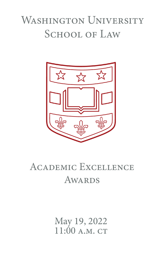# WASHINGTON UNIVERSITY SCHOOL OF LAW



# Academic Excellence **AWARDS**

May 19, 2022 11:00 A.M. CT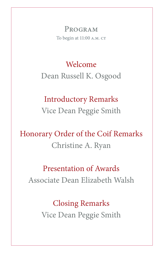PROGRAM To begin at 11:00 A.M. CT

# Welcome Dean Russell K. Osgood

### Introductory Remarks Vice Dean Peggie Smith

## Honorary Order of the Coif Remarks Christine A. Ryan

#### Presentation of Awards Associate Dean Elizabeth Walsh

Closing Remarks Vice Dean Peggie Smith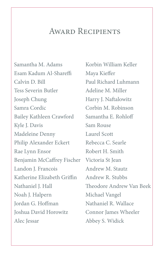#### AWARD RECIPIENTS

Samantha M. Adams Esam Kadum Al-Shareffi Calvin D. Bill Tess Severin Butler Joseph Chung Samra Cordic Bailey Kathleen Crawford Kyle J. Davis Madeleine Denny Philip Alexander Eckert Rae Lynn Ensor Benjamin McCaffrey Fischer Victoria St Jean Landon J. Francois Katherine Elizabeth Griffin Nathaniel J. Hall Noah J. Halpern Jordan G. Hoffman Joshua David Horowitz Alec Jessar

Korbin William Keller Maya Kieffer Paul Richard Luhmann Adeline M. Miller Harry J. Naftalowitz Corbin M. Robinson Samantha E. Rohloff Sam Rouse Laurel Scott Rebecca C. Searle Robert H. Smith Andrew M. Stautz Andrew R. Stubbs Theodore Andrew Van Beek Michael Vangel Nathaniel R. Wallace Connor James Wheeler Abbey S. Widick